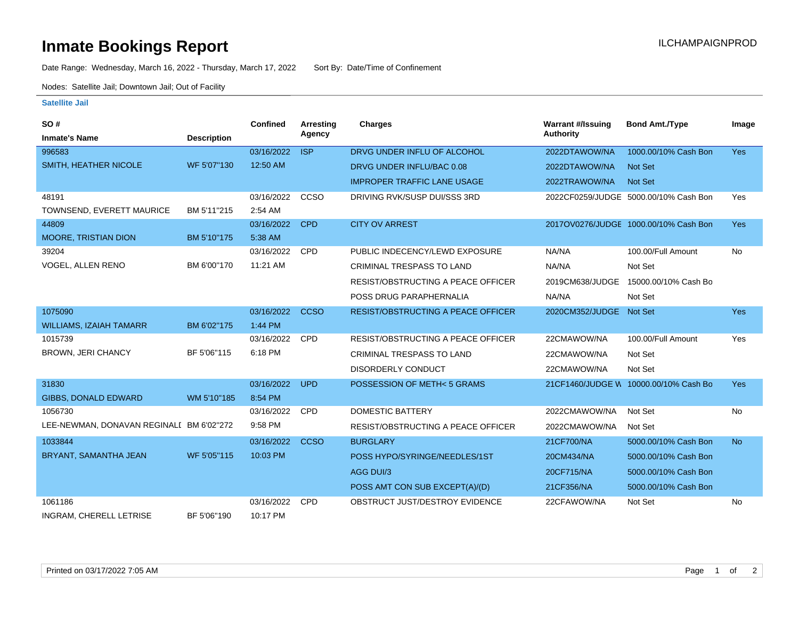## **Inmate Bookings Report Installation ILCHAMPAIGNPROD**

Date Range: Wednesday, March 16, 2022 - Thursday, March 17, 2022 Sort By: Date/Time of Confinement

Nodes: Satellite Jail; Downtown Jail; Out of Facility

## **Satellite Jail**

| <b>SO#</b>                               |                    | Confined   | <b>Arresting</b> | <b>Charges</b>                            | <b>Warrant #/Issuing</b> | <b>Bond Amt./Type</b>                 | Image      |
|------------------------------------------|--------------------|------------|------------------|-------------------------------------------|--------------------------|---------------------------------------|------------|
| <b>Inmate's Name</b>                     | <b>Description</b> |            | Agency           |                                           | <b>Authority</b>         |                                       |            |
| 996583                                   |                    | 03/16/2022 | <b>ISP</b>       | DRVG UNDER INFLU OF ALCOHOL               | 2022DTAWOW/NA            | 1000.00/10% Cash Bon                  | Yes        |
| SMITH, HEATHER NICOLE                    | WF 5'07"130        | 12:50 AM   |                  | DRVG UNDER INFLU/BAC 0.08                 | 2022DTAWOW/NA            | Not Set                               |            |
|                                          |                    |            |                  | <b>IMPROPER TRAFFIC LANE USAGE</b>        | 2022TRAWOW/NA            | Not Set                               |            |
| 48191                                    |                    | 03/16/2022 | CCSO             | DRIVING RVK/SUSP DUI/SSS 3RD              |                          | 2022CF0259/JUDGE 5000.00/10% Cash Bon | Yes        |
| TOWNSEND, EVERETT MAURICE                | BM 5'11"215        | 2:54 AM    |                  |                                           |                          |                                       |            |
| 44809                                    |                    | 03/16/2022 | <b>CPD</b>       | <b>CITY OV ARREST</b>                     |                          | 2017OV0276/JUDGE 1000.00/10% Cash Bon | <b>Yes</b> |
| <b>MOORE, TRISTIAN DION</b>              | BM 5'10"175        | 5:38 AM    |                  |                                           |                          |                                       |            |
| 39204                                    |                    | 03/16/2022 | <b>CPD</b>       | PUBLIC INDECENCY/LEWD EXPOSURE            | NA/NA                    | 100.00/Full Amount                    | No         |
| VOGEL, ALLEN RENO                        | BM 6'00"170        | 11:21 AM   |                  | <b>CRIMINAL TRESPASS TO LAND</b>          | NA/NA                    | Not Set                               |            |
|                                          |                    |            |                  | <b>RESIST/OBSTRUCTING A PEACE OFFICER</b> | 2019CM638/JUDGE          | 15000.00/10% Cash Bo                  |            |
|                                          |                    |            |                  | POSS DRUG PARAPHERNALIA                   | NA/NA                    | Not Set                               |            |
| 1075090                                  |                    | 03/16/2022 | <b>CCSO</b>      | <b>RESIST/OBSTRUCTING A PEACE OFFICER</b> | 2020CM352/JUDGE Not Set  |                                       | Yes        |
| <b>WILLIAMS, IZAIAH TAMARR</b>           | BM 6'02"175        | 1:44 PM    |                  |                                           |                          |                                       |            |
| 1015739                                  |                    | 03/16/2022 | <b>CPD</b>       | <b>RESIST/OBSTRUCTING A PEACE OFFICER</b> | 22CMAWOW/NA              | 100.00/Full Amount                    | Yes        |
| BROWN, JERI CHANCY                       | BF 5'06"115        | 6:18 PM    |                  | <b>CRIMINAL TRESPASS TO LAND</b>          | 22CMAWOW/NA              | Not Set                               |            |
|                                          |                    |            |                  | DISORDERLY CONDUCT                        | 22CMAWOW/NA              | Not Set                               |            |
| 31830                                    |                    | 03/16/2022 | <b>UPD</b>       | POSSESSION OF METH< 5 GRAMS               |                          | 21CF1460/JUDGE W 10000.00/10% Cash Bo | Yes        |
| <b>GIBBS, DONALD EDWARD</b>              | WM 5'10"185        | 8:54 PM    |                  |                                           |                          |                                       |            |
| 1056730                                  |                    | 03/16/2022 | <b>CPD</b>       | <b>DOMESTIC BATTERY</b>                   | 2022CMAWOW/NA            | Not Set                               | No         |
| LEE-NEWMAN, DONAVAN REGINALI BM 6'02"272 |                    | 9:58 PM    |                  | RESIST/OBSTRUCTING A PEACE OFFICER        | 2022CMAWOW/NA            | Not Set                               |            |
| 1033844                                  |                    | 03/16/2022 | <b>CCSO</b>      | <b>BURGLARY</b>                           | 21CF700/NA               | 5000.00/10% Cash Bon                  | <b>No</b>  |
| BRYANT, SAMANTHA JEAN                    | WF 5'05"115        | 10:03 PM   |                  | POSS HYPO/SYRINGE/NEEDLES/1ST             | 20CM434/NA               | 5000.00/10% Cash Bon                  |            |
|                                          |                    |            |                  | AGG DUI/3                                 | 20CF715/NA               | 5000.00/10% Cash Bon                  |            |
|                                          |                    |            |                  | POSS AMT CON SUB EXCEPT(A)/(D)            | 21CF356/NA               | 5000.00/10% Cash Bon                  |            |
| 1061186                                  |                    | 03/16/2022 | <b>CPD</b>       | OBSTRUCT JUST/DESTROY EVIDENCE            | 22CFAWOW/NA              | Not Set                               | No         |
| INGRAM, CHERELL LETRISE                  | BF 5'06"190        | 10:17 PM   |                  |                                           |                          |                                       |            |